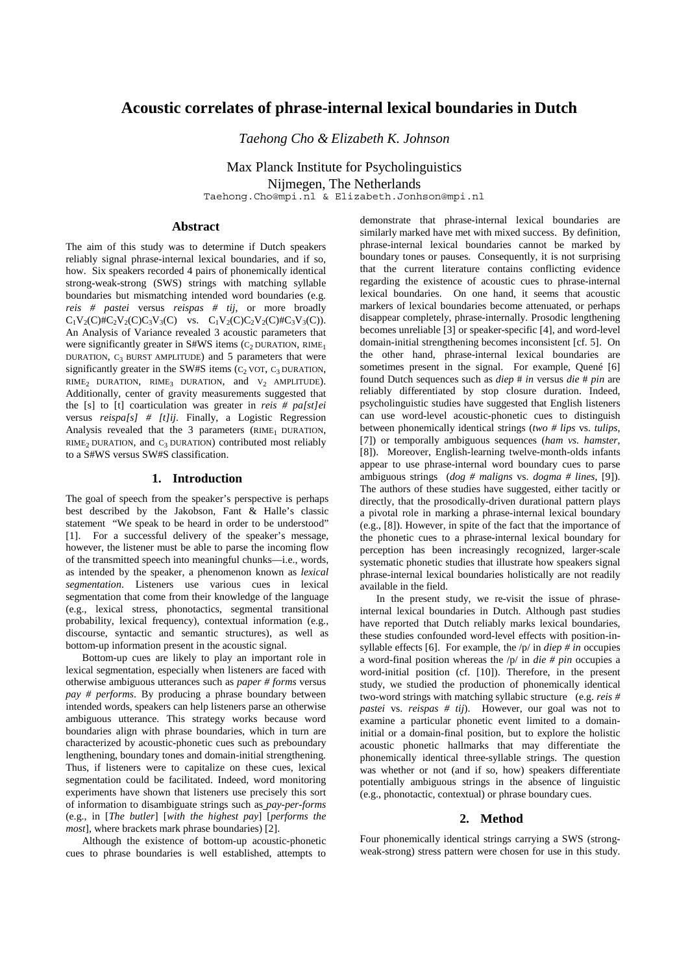# **Acoustic correlates of phrase-internal lexical boundaries in Dutch**

*Taehong Cho & Elizabeth K. Johnson* 

Max Planck Institute for Psycholinguistics Nijmegen, The Netherlands Taehong.Cho@mpi.nl & Elizabeth.Jonhson@mpi.nl

#### **Abstract**

The aim of this study was to determine if Dutch speakers reliably signal phrase-internal lexical boundaries, and if so, how. Six speakers recorded 4 pairs of phonemically identical strong-weak-strong (SWS) strings with matching syllable boundaries but mismatching intended word boundaries (e.g. *reis # pastei* versus *reispas # tij*, or more broadly  $C_1V_2(C)\#C_2V_2(C)C_3V_3(C)$  vs.  $C_1V_2(C)C_2V_2(C)\#C_3V_3(C)$ . An Analysis of Variance revealed 3 acoustic parameters that were significantly greater in  $S#WS$  items (C<sub>2</sub> DURATION, RIME<sub>1</sub> DURATION,  $C_3$  BURST AMPLITUDE) and 5 parameters that were significantly greater in the SW#S items  $(C_2$  VOT,  $C_3$  DURATION, RIME<sub>2</sub> DURATION, RIME<sub>3</sub> DURATION, and  $V_2$  AMPLITUDE). Additionally, center of gravity measurements suggested that the [s] to [t] coarticulation was greater in *reis # pa[st]ei* versus *reispa[s] # [t]ij*. Finally, a Logistic Regression Analysis revealed that the  $3$  parameters (RIME<sub>1</sub> DURATION, RIME<sub>2</sub> DURATION, and  $C_3$  DURATION) contributed most reliably to a S#WS versus SW#S classification.

## **1. Introduction**

The goal of speech from the speaker's perspective is perhaps best described by the Jakobson, Fant & Halle's classic statement "We speak to be heard in order to be understood" [1]. For a successful delivery of the speaker's message, however, the listener must be able to parse the incoming flow of the transmitted speech into meaningful chunks—i.e., words, as intended by the speaker, a phenomenon known as *lexical segmentation*. Listeners use various cues in lexical segmentation that come from their knowledge of the language (e.g., lexical stress, phonotactics, segmental transitional probability, lexical frequency), contextual information (e.g., discourse, syntactic and semantic structures), as well as bottom-up information present in the acoustic signal.

Bottom-up cues are likely to play an important role in lexical segmentation, especially when listeners are faced with otherwise ambiguous utterances such as *paper # forms* versus *pay # performs*. By producing a phrase boundary between intended words, speakers can help listeners parse an otherwise ambiguous utterance. This strategy works because word boundaries align with phrase boundaries, which in turn are characterized by acoustic-phonetic cues such as preboundary lengthening, boundary tones and domain-initial strengthening. Thus, if listeners were to capitalize on these cues, lexical segmentation could be facilitated. Indeed, word monitoring experiments have shown that listeners use precisely this sort of information to disambiguate strings such as *pay-per-forms* (e.g., in [*The butler*] [*with the highest pay*] [*performs the most*], where brackets mark phrase boundaries) [2].

Although the existence of bottom-up acoustic-phonetic cues to phrase boundaries is well established, attempts to demonstrate that phrase-internal lexical boundaries are similarly marked have met with mixed success. By definition, phrase-internal lexical boundaries cannot be marked by boundary tones or pauses. Consequently, it is not surprising that the current literature contains conflicting evidence regarding the existence of acoustic cues to phrase-internal lexical boundaries. On one hand, it seems that acoustic markers of lexical boundaries become attenuated, or perhaps disappear completely, phrase-internally. Prosodic lengthening becomes unreliable [3] or speaker-specific [4], and word-level domain-initial strengthening becomes inconsistent [cf. 5]. On the other hand, phrase-internal lexical boundaries are sometimes present in the signal. For example, Quené [6] found Dutch sequences such as *diep* # *in* versus *die* # *pin* are reliably differentiated by stop closure duration. Indeed, psycholinguistic studies have suggested that English listeners can use word-level acoustic-phonetic cues to distinguish between phonemically identical strings (*two # lips* vs. *tulips*, [7]) or temporally ambiguous sequences (*ham vs. hamster*, [8]). Moreover, English-learning twelve-month-olds infants appear to use phrase-internal word boundary cues to parse ambiguous strings (*dog # maligns* vs. *dogma # lines*, [9]). The authors of these studies have suggested, either tacitly or directly, that the prosodically-driven durational pattern plays a pivotal role in marking a phrase-internal lexical boundary (e.g., [8]). However, in spite of the fact that the importance of the phonetic cues to a phrase-internal lexical boundary for perception has been increasingly recognized, larger-scale systematic phonetic studies that illustrate how speakers signal phrase-internal lexical boundaries holistically are not readily available in the field.

In the present study, we re-visit the issue of phraseinternal lexical boundaries in Dutch. Although past studies have reported that Dutch reliably marks lexical boundaries, these studies confounded word-level effects with position-insyllable effects [6]. For example, the /p/ in *diep # in* occupies a word-final position whereas the /p/ in *die # pin* occupies a word-initial position (cf. [10]). Therefore, in the present study, we studied the production of phonemically identical two-word strings with matching syllabic structure (e.g. *reis # pastei* vs. *reispas # tij*). However, our goal was not to examine a particular phonetic event limited to a domaininitial or a domain-final position, but to explore the holistic acoustic phonetic hallmarks that may differentiate the phonemically identical three-syllable strings. The question was whether or not (and if so, how) speakers differentiate potentially ambiguous strings in the absence of linguistic (e.g., phonotactic, contextual) or phrase boundary cues.

## **2. Method**

Four phonemically identical strings carrying a SWS (strongweak-strong) stress pattern were chosen for use in this study.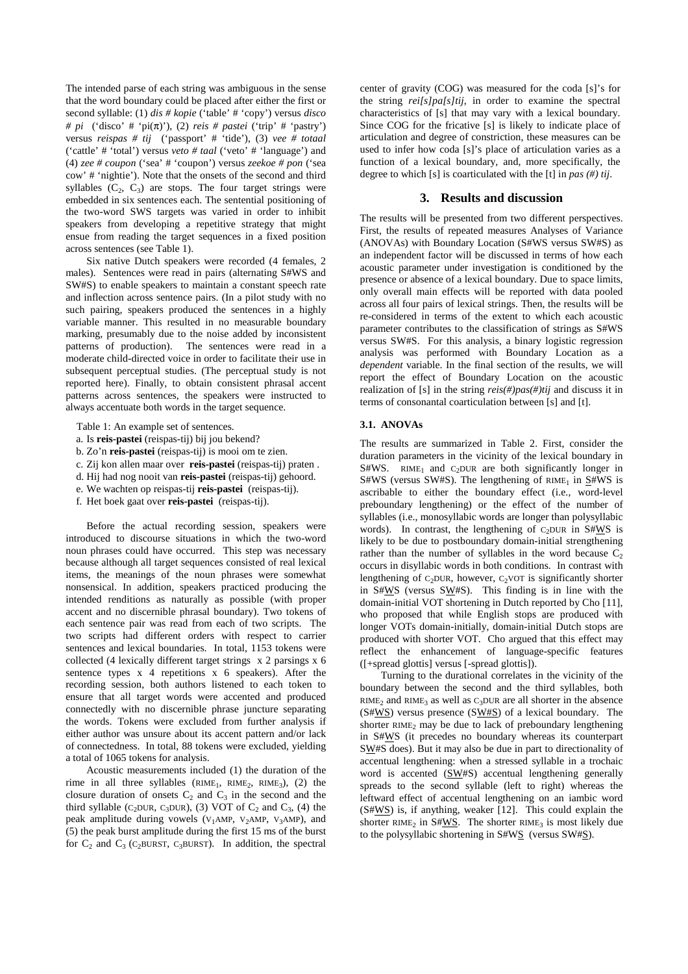The intended parse of each string was ambiguous in the sense that the word boundary could be placed after either the first or second syllable: (1) *dis # kopie* ('table' # 'copy') versus *disco # pi* ('disco' # 'pi(π)'), (2) *reis # pastei* ('trip' # 'pastry') versus *reispas # tij* ('passport' # 'tide'), (3) *vee # totaal*  ('cattle' # 'total') versus *veto # taal* ('veto' # 'language') and (4) *zee # coupon* ('sea' # 'coupon') versus *zeekoe # pon* ('sea cow' # 'nightie'). Note that the onsets of the second and third syllables  $(C_2, C_3)$  are stops. The four target strings were embedded in six sentences each. The sentential positioning of the two-word SWS targets was varied in order to inhibit speakers from developing a repetitive strategy that might ensue from reading the target sequences in a fixed position across sentences (see Table 1).

Six native Dutch speakers were recorded (4 females, 2 males). Sentences were read in pairs (alternating S#WS and SW#S) to enable speakers to maintain a constant speech rate and inflection across sentence pairs. (In a pilot study with no such pairing, speakers produced the sentences in a highly variable manner. This resulted in no measurable boundary marking, presumably due to the noise added by inconsistent patterns of production). The sentences were read in a moderate child-directed voice in order to facilitate their use in subsequent perceptual studies. (The perceptual study is not reported here). Finally, to obtain consistent phrasal accent patterns across sentences, the speakers were instructed to always accentuate both words in the target sequence.

Table 1: An example set of sentences.

- a. Is **reis-pastei** (reispas-tij) bij jou bekend?
- b. Zo'n **reis-pastei** (reispas-tij) is mooi om te zien.
- c. Zij kon allen maar over **reis-pastei** (reispas-tij) praten .
- d. Hij had nog nooit van **reis-pastei** (reispas-tij) gehoord.
- e. We wachten op reispas-tij **reis-pastei** (reispas-tij).
- f. Het boek gaat over **reis-pastei** (reispas-tij).

Before the actual recording session, speakers were introduced to discourse situations in which the two-word noun phrases could have occurred. This step was necessary because although all target sequences consisted of real lexical items, the meanings of the noun phrases were somewhat nonsensical. In addition, speakers practiced producing the intended renditions as naturally as possible (with proper accent and no discernible phrasal boundary). Two tokens of each sentence pair was read from each of two scripts. The two scripts had different orders with respect to carrier sentences and lexical boundaries. In total, 1153 tokens were collected (4 lexically different target strings x 2 parsings x 6 sentence types x 4 repetitions x 6 speakers). After the recording session, both authors listened to each token to ensure that all target words were accented and produced connectedly with no discernible phrase juncture separating the words. Tokens were excluded from further analysis if either author was unsure about its accent pattern and/or lack of connectedness. In total, 88 tokens were excluded, yielding a total of 1065 tokens for analysis.

Acoustic measurements included (1) the duration of the rime in all three syllables  $(RIME_1, RIME_2, RIME_3)$ , (2) the closure duration of onsets  $C_2$  and  $C_3$  in the second and the third syllable (C<sub>2</sub>DUR, C<sub>3</sub>DUR), (3) VOT of  $C_2$  and  $C_3$ , (4) the peak amplitude during vowels ( $V_1$ AMP,  $V_2$ AMP,  $V_3$ AMP), and (5) the peak burst amplitude during the first 15 ms of the burst for  $C_2$  and  $C_3$  (C<sub>2</sub>BURST, C<sub>3</sub>BURST). In addition, the spectral

center of gravity (COG) was measured for the coda [s]'s for the string *rei[s]pa[s]tij*, in order to examine the spectral characteristics of [s] that may vary with a lexical boundary. Since COG for the fricative [s] is likely to indicate place of articulation and degree of constriction, these measures can be used to infer how coda [s]'s place of articulation varies as a function of a lexical boundary, and, more specifically, the degree to which [s] is coarticulated with the [t] in *pas (#) tij*.

#### **3. Results and discussion**

The results will be presented from two different perspectives. First, the results of repeated measures Analyses of Variance (ANOVAs) with Boundary Location (S#WS versus SW#S) as an independent factor will be discussed in terms of how each acoustic parameter under investigation is conditioned by the presence or absence of a lexical boundary. Due to space limits, only overall main effects will be reported with data pooled across all four pairs of lexical strings. Then, the results will be re-considered in terms of the extent to which each acoustic parameter contributes to the classification of strings as S#WS versus SW#S. For this analysis, a binary logistic regression analysis was performed with Boundary Location as a *dependent* variable. In the final section of the results, we will report the effect of Boundary Location on the acoustic realization of [s] in the string *reis(#)pas(#)tij* and discuss it in terms of consonantal coarticulation between [s] and [t].

## **3.1. ANOVAs**

The results are summarized in Table 2. First, consider the duration parameters in the vicinity of the lexical boundary in S#WS. RIME<sub>1</sub> and C<sub>2</sub>DUR are both significantly longer in  $S#WS$  (versus SW#S). The lengthening of RIME<sub>1</sub> in S#WS is ascribable to either the boundary effect (i.e., word-level preboundary lengthening) or the effect of the number of syllables (i.e., monosyllabic words are longer than polysyllabic words). In contrast, the lengthening of  $C_2DUR$  in S#WS is likely to be due to postboundary domain-initial strengthening rather than the number of syllables in the word because  $C_2$ occurs in disyllabic words in both conditions. In contrast with lengthening of  $C_2DUR$ , however,  $C_2VOT$  is significantly shorter in S#WS (versus SW#S). This finding is in line with the domain-initial VOT shortening in Dutch reported by Cho [11], who proposed that while English stops are produced with longer VOTs domain-initially, domain-initial Dutch stops are produced with shorter VOT. Cho argued that this effect may reflect the enhancement of language-specific features ([+spread glottis] versus [-spread glottis]).

Turning to the durational correlates in the vicinity of the boundary between the second and the third syllables, both  $RIME<sub>2</sub>$  and  $RIME<sub>3</sub>$  as well as  $C<sub>3</sub>DUR$  are all shorter in the absence  $(S#WS)$  versus presence  $(SW#S)$  of a lexical boundary. The shorter RIME<sub>2</sub> may be due to lack of preboundary lengthening in S#WS (it precedes no boundary whereas its counterpart SW#S does). But it may also be due in part to directionality of accentual lengthening: when a stressed syllable in a trochaic word is accented (SW#S) accentual lengthening generally spreads to the second syllable (left to right) whereas the leftward effect of accentual lengthening on an iambic word (S#WS) is, if anything, weaker [12]. This could explain the shorter RIME<sub>2</sub> in S#WS. The shorter RIME<sub>3</sub> is most likely due to the polysyllabic shortening in S#WS (versus SW#S).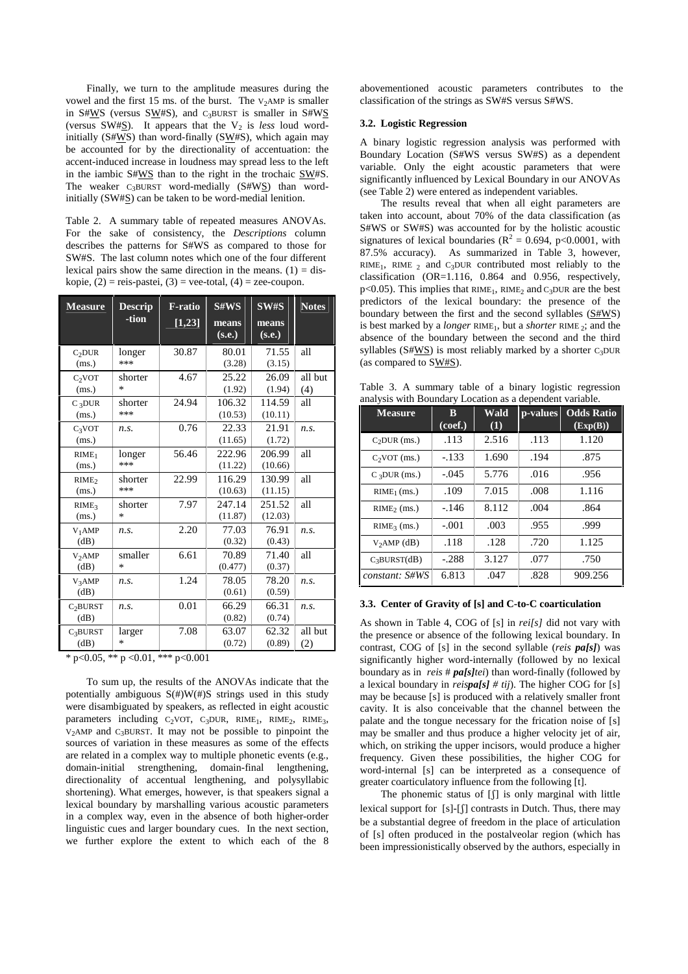Finally, we turn to the amplitude measures during the vowel and the first 15 ms. of the burst. The  $V_2AMP$  is smaller in S#WS (versus SW#S), and  $C_3BURST$  is smaller in S#WS (versus SW#S). It appears that the  $V_2$  is *less* loud wordinitially (S#WS) than word-finally (SW#S), which again may be accounted for by the directionality of accentuation: the accent-induced increase in loudness may spread less to the left in the iambic S#WS than to the right in the trochaic SW#S. The weaker  $C_3$ BURST word-medially (S#WS) than wordinitially (SW#S) can be taken to be word-medial lenition.

Table 2. A summary table of repeated measures ANOVAs. For the sake of consistency, the *Descriptions* column describes the patterns for S#WS as compared to those for SW#S. The last column notes which one of the four different lexical pairs show the same direction in the means.  $(1) =$  diskopie,  $(2)$  = reis-pastei,  $(3)$  = vee-total,  $(4)$  = zee-coupon.

| <b>Measure</b>               | <b>Descrip</b><br>-tion | <b>F-ratio</b><br>[1,23] | S#WS<br>means<br>(s.e.) | SW#S<br>means<br>(s.e.) | <b>Notes</b>   |
|------------------------------|-------------------------|--------------------------|-------------------------|-------------------------|----------------|
| C <sub>2</sub> DUR<br>(ms.)  | longer<br>***           | 30.87                    | 80.01<br>(3.28)         | 71.55<br>(3.15)         | all            |
| $C_2VOT$<br>(ms.)            | shorter<br>*            | 4.67                     | 25.22<br>(1.92)         | 26.09<br>(1.94)         | all but<br>(4) |
| $C_3DUR$<br>(ms.)            | shorter<br>***          | 24.94                    | 106.32<br>(10.53)       | 114.59<br>(10.11)       | all            |
| $C_3VOT$<br>(ms.)            | n.s.                    | 0.76                     | 22.33<br>(11.65)        | 21.91<br>(1.72)         | n.s.           |
| RIME <sub>1</sub><br>(ms.)   | longer<br>***           | 56.46                    | 222.96<br>(11.22)       | 206.99<br>(10.66)       | all            |
| RIME <sub>2</sub><br>(ms.)   | shorter<br>***          | 22.99                    | 116.29<br>(10.63)       | 130.99<br>(11.15)       | all            |
| RIME <sub>3</sub><br>(ms.)   | shorter<br>$\ast$       | 7.97                     | 247.14<br>(11.87)       | 251.52<br>(12.03)       | all            |
| V <sub>1</sub> AMP<br>(dB)   | n.s.                    | 2.20                     | 77.03<br>(0.32)         | 76.91<br>(0.43)         | $n_{\rm s}$    |
| V <sub>2</sub> AMP<br>(dB)   | smaller<br>$\ast$       | 6.61                     | 70.89<br>(0.477)        | 71.40<br>(0.37)         | all            |
| V <sub>3</sub> AMP<br>(dB)   | n.s.                    | 1.24                     | 78.05<br>(0.61)         | 78.20<br>(0.59)         | n.s.           |
| C <sub>2</sub> BURST<br>(dB) | n.s.                    | 0.01                     | 66.29<br>(0.82)         | 66.31<br>(0.74)         | $n_{\rm s}$    |
| C <sub>3</sub> BURST<br>(dB) | larger<br>*             | 7.08                     | 63.07<br>(0.72)         | 62.32<br>(0.89)         | all but<br>(2) |

\* p<0.05, \*\* p <0.01, \*\*\* p<0.001

To sum up, the results of the ANOVAs indicate that the potentially ambiguous  $S(\#)W(\#)S$  strings used in this study were disambiguated by speakers, as reflected in eight acoustic parameters including  $C_2VOT$ ,  $C_3DUR$ ,  $RIME_1$ ,  $RIME_2$ ,  $RIME_3$ ,  $V_2$ AMP and C<sub>3</sub>BURST. It may not be possible to pinpoint the sources of variation in these measures as some of the effects are related in a complex way to multiple phonetic events (e.g., domain-initial strengthening, domain-final lengthening, directionality of accentual lengthening, and polysyllabic shortening). What emerges, however, is that speakers signal a lexical boundary by marshalling various acoustic parameters in a complex way, even in the absence of both higher-order linguistic cues and larger boundary cues. In the next section, we further explore the extent to which each of the 8 abovementioned acoustic parameters contributes to the classification of the strings as SW#S versus S#WS.

#### **3.2. Logistic Regression**

A binary logistic regression analysis was performed with Boundary Location (S#WS versus SW#S) as a dependent variable. Only the eight acoustic parameters that were significantly influenced by Lexical Boundary in our ANOVAs (see Table 2) were entered as independent variables.

The results reveal that when all eight parameters are taken into account, about 70% of the data classification (as S#WS or SW#S) was accounted for by the holistic acoustic signatures of lexical boundaries ( $R^2 = 0.694$ , p<0.0001, with 87.5% accuracy). As summarized in Table 3, however, RIME<sub>1</sub>, RIME  $_2$  and C<sub>3</sub>DUR contributed most reliably to the classification (OR=1.116, 0.864 and 0.956, respectively,  $p<0.05$ ). This implies that RIME<sub>1</sub>, RIME<sub>2</sub> and C<sub>3</sub>DUR are the best predictors of the lexical boundary: the presence of the boundary between the first and the second syllables (S#WS) is best marked by a *longer* RIME<sub>1</sub>, but a *shorter* RIME<sub>2</sub>; and the absence of the boundary between the second and the third syllables ( $S#WS$ ) is most reliably marked by a shorter  $C_3DUR$ (as compared to SW#S).

Table 3. A summary table of a binary logistic regression analysis with Boundary Location as a dependent variable.

| <b>Measure</b> | B<br>(coef.) | Wald<br>(1) | <b>p</b> -values | <b>Odds Ratio</b><br>(Exp(B)) |
|----------------|--------------|-------------|------------------|-------------------------------|
| $C2DUR$ (ms.)  | .113         | 2.516       | .113             | 1.120                         |
| $C_2VOT$ (ms.) | $-.133$      | 1.690       | .194             | .875                          |
| $C_3DUR$ (ms.) | $-.045$      | 5.776       | .016             | .956                          |
| $RIME_1$ (ms.) | .109         | 7.015       | .008             | 1.116                         |
| $RIME_2$ (ms.) | $-146$       | 8.112       | .004             | .864                          |
| $RIME3$ (ms.)  | $-.001$      | .003        | .955             | .999                          |
| $V2AMP$ (dB)   | .118         | .128        | .720             | 1.125                         |
| $C_3BURST(dB)$ | $-.288$      | 3.127       | .077             | .750                          |
| constant: S#WS | 6.813        | .047        | .828             | 909.256                       |

#### **3.3. Center of Gravity of [s] and C-to-C coarticulation**

As shown in Table 4, COG of [s] in *rei[s]* did not vary with the presence or absence of the following lexical boundary. In contrast, COG of [s] in the second syllable (*reis pa[s]*) was significantly higher word-internally (followed by no lexical boundary as in *reis* # *pa[s]tei*) than word-finally (followed by a lexical boundary in *reispa[s] # tij*). The higher COG for [s] may be because [s] is produced with a relatively smaller front cavity. It is also conceivable that the channel between the palate and the tongue necessary for the frication noise of [s] may be smaller and thus produce a higher velocity jet of air, which, on striking the upper incisors, would produce a higher frequency. Given these possibilities, the higher COG for word-internal [s] can be interpreted as a consequence of greater coarticulatory influence from the following [t].

The phonemic status of  $[\int]$  is only marginal with little lexical support for [s]-[f] contrasts in Dutch. Thus, there may be a substantial degree of freedom in the place of articulation of [s] often produced in the postalveolar region (which has been impressionistically observed by the authors, especially in